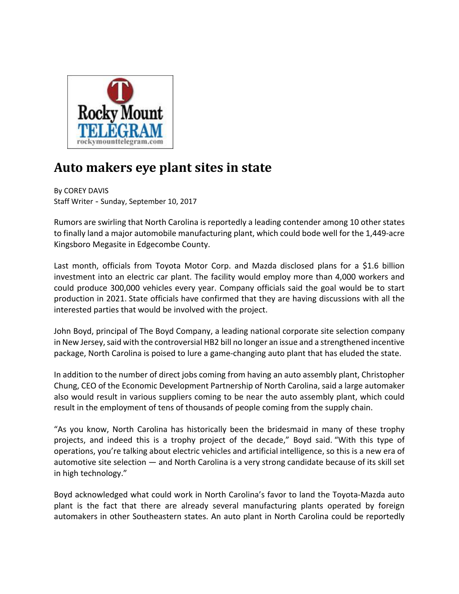

## **Auto makers eye plant sites in state**

By COREY DAVIS Staff Writer - Sunday, September 10, 2017

Rumors are swirling that North Carolina is reportedly a leading contender among 10 other states to finally land a major automobile manufacturing plant, which could bode well for the 1,449‐acre Kingsboro Megasite in Edgecombe County.

Last month, officials from Toyota Motor Corp. and Mazda disclosed plans for a \$1.6 billion investment into an electric car plant. The facility would employ more than 4,000 workers and could produce 300,000 vehicles every year. Company officials said the goal would be to start production in 2021. State officials have confirmed that they are having discussions with all the interested parties that would be involved with the project.

John Boyd, principal of The Boyd Company, a leading national corporate site selection company in New Jersey,said with the controversial HB2 bill no longer an issue and a strengthened incentive package, North Carolina is poised to lure a game‐changing auto plant that has eluded the state.

In addition to the number of direct jobs coming from having an auto assembly plant, Christopher Chung, CEO of the Economic Development Partnership of North Carolina, said a large automaker also would result in various suppliers coming to be near the auto assembly plant, which could result in the employment of tens of thousands of people coming from the supply chain.

"As you know, North Carolina has historically been the bridesmaid in many of these trophy projects, and indeed this is a trophy project of the decade," Boyd said. "With this type of operations, you're talking about electric vehicles and artificial intelligence, so this is a new era of automotive site selection — and North Carolina is a very strong candidate because of its skill set in high technology."

Boyd acknowledged what could work in North Carolina's favor to land the Toyota‐Mazda auto plant is the fact that there are already several manufacturing plants operated by foreign automakers in other Southeastern states. An auto plant in North Carolina could be reportedly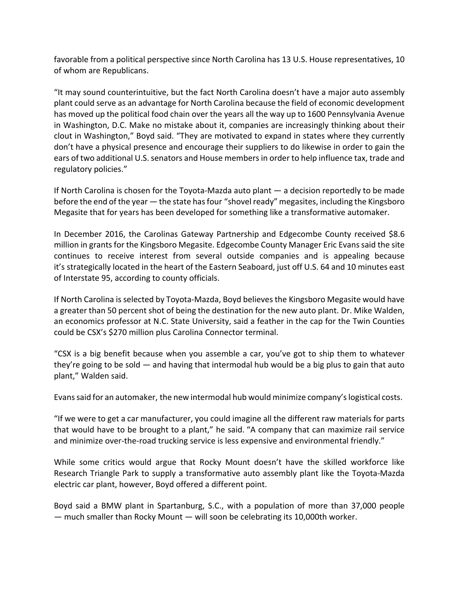favorable from a political perspective since North Carolina has 13 U.S. House representatives, 10 of whom are Republicans.

"It may sound counterintuitive, but the fact North Carolina doesn't have a major auto assembly plant could serve as an advantage for North Carolina because the field of economic development has moved up the political food chain over the years all the way up to 1600 Pennsylvania Avenue in Washington, D.C. Make no mistake about it, companies are increasingly thinking about their clout in Washington," Boyd said. "They are motivated to expand in states where they currently don't have a physical presence and encourage their suppliers to do likewise in order to gain the ears of two additional U.S. senators and House members in order to help influence tax, trade and regulatory policies."

If North Carolina is chosen for the Toyota‐Mazda auto plant — a decision reportedly to be made before the end of the year  $-$  the state has four "shovel ready" megasites, including the Kingsboro Megasite that for years has been developed for something like a transformative automaker.

In December 2016, the Carolinas Gateway Partnership and Edgecombe County received \$8.6 million in grants for the Kingsboro Megasite. Edgecombe County Manager Eric Evans said the site continues to receive interest from several outside companies and is appealing because it's strategically located in the heart of the Eastern Seaboard, just off U.S. 64 and 10 minutes east of Interstate 95, according to county officials.

If North Carolina is selected by Toyota‐Mazda, Boyd believes the Kingsboro Megasite would have a greater than 50 percent shot of being the destination for the new auto plant. Dr. Mike Walden, an economics professor at N.C. State University, said a feather in the cap for the Twin Counties could be CSX's \$270 million plus Carolina Connector terminal.

"CSX is a big benefit because when you assemble a car, you've got to ship them to whatever they're going to be sold — and having that intermodal hub would be a big plus to gain that auto plant," Walden said.

Evanssaid for an automaker, the new intermodal hub would minimize company'slogistical costs.

"If we were to get a car manufacturer, you could imagine all the different raw materials for parts that would have to be brought to a plant," he said. "A company that can maximize rail service and minimize over-the-road trucking service is less expensive and environmental friendly."

While some critics would argue that Rocky Mount doesn't have the skilled workforce like Research Triangle Park to supply a transformative auto assembly plant like the Toyota‐Mazda electric car plant, however, Boyd offered a different point.

Boyd said a BMW plant in Spartanburg, S.C., with a population of more than 37,000 people — much smaller than Rocky Mount — will soon be celebrating its 10,000th worker.